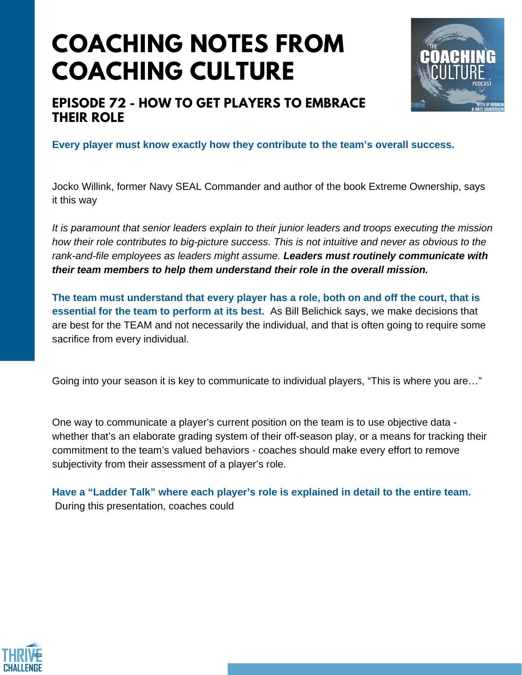## **COACHING NOTES FROM COACHING CULTURE**



### **EPISODE 72 - HOW TO GET PLAYERS TO EMBRACE THEIR ROLE**

**Every player must know exactly how they contribute to the team's overall success.**

Jocko Willink, former Navy SEAL Commander and author of the book Extreme Ownership, says it this way

*It is paramount that senior leaders explain to their junior leaders and troops executing the mission how their role contributes to big-picture success. This is not intuitive and never as obvious to the rank-and-file employees as leaders might assume. Leaders must routinely communicate with their team members to help them understand their role in the overall mission.*

**The team must understand that every player has a role, both on and off the court, that is essential for the team to perform at its best.** As Bill Belichick says, we make decisions that are best for the TEAM and not necessarily the individual, and that is often going to require some sacrifice from every individual.

Going into your season it is key to communicate to individual players, "This is where you are…"

One way to communicate a player's current position on the team is to use objective data whether that's an elaborate grading system of their off-season play, or a means for tracking their commitment to the team's valued behaviors - coaches should make every effort to remove subjectivity from their assessment of a player's role.

**Have a "Ladder Talk" where each player's role is explained in detail to the entire team.** During this presentation, coaches could

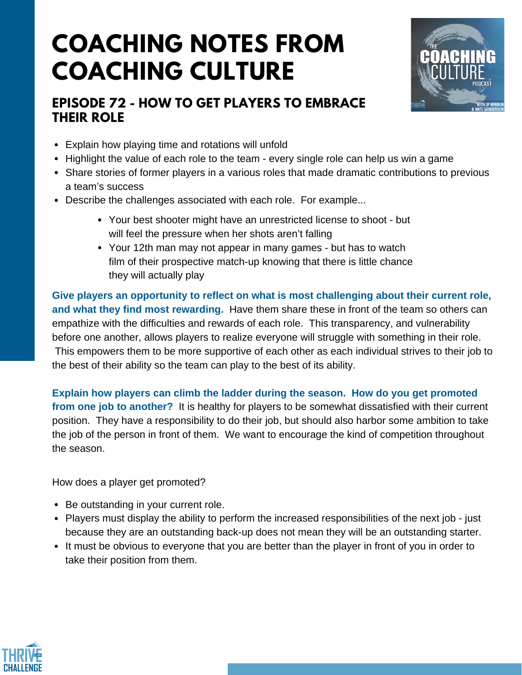# **COACHING NOTES FROM COACHING CULTURE**

### **EPISODE 72 - HOW TO GET PLAYERS TO EMBRACE THEIR ROLE**



- Explain how playing time and rotations will unfold
- Highlight the value of each role to the team every single role can help us win a game
- Share stories of former players in a various roles that made dramatic contributions to previous a team's success
- Describe the challenges associated with each role. For example...
	- Your best shooter might have an unrestricted license to shoot but will feel the pressure when her shots aren't falling
	- Your 12th man may not appear in many games but has to watch film of their prospective match-up knowing that there is little chance they will actually play

**Give players an opportunity to reflect on what is most challenging about their current role, and what they find most rewarding.** Have them share these in front of the team so others can empathize with the difficulties and rewards of each role. This transparency, and vulnerability before one another, allows players to realize everyone will struggle with something in their role. This empowers them to be more supportive of each other as each individual strives to their job to the best of their ability so the team can play to the best of its ability.

**Explain how players can climb the ladder during the season. How do you get promoted from one job to another?** It is healthy for players to be somewhat dissatisfied with their current position. They have a responsibility to do their job, but should also harbor some ambition to take the job of the person in front of them. We want to encourage the kind of competition throughout the season.

How does a player get promoted?

- Be outstanding in your current role.
- Players must display the ability to perform the increased responsibilities of the next job just because they are an outstanding back-up does not mean they will be an outstanding starter.
- It must be obvious to everyone that you are better than the player in front of you in order to take their position from them.